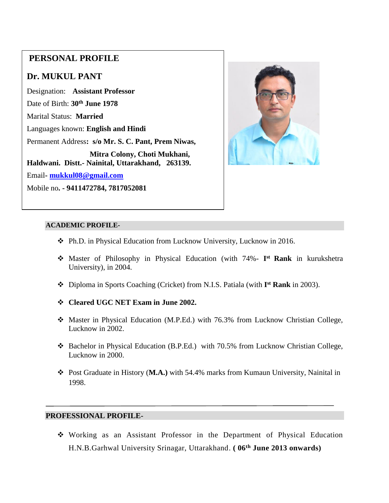# **PERSONAL PROFILE**

# **Dr. MUKUL PANT**

 **Haldwani. Distt.- Nainital, Uttarakhand, 263139.**  Designation: **Assistant Professor** Date of Birth: **30th June 1978** Marital Status: **Married** Languages known: **English and Hindi** Permanent Address**: s/o Mr. S. C. Pant, Prem Niwas, Mitra Colony, Choti Mukhani,**  Email**- [mukkul08@gmail.com](mailto:mukkul08@gmail.com)** Mobile no**. - 9411472784, 7817052081**



#### **ACADEMIC PROFILE-**

- Ph.D. in Physical Education from Lucknow University, Lucknow in 2016.
- Master of Philosophy in Physical Education (with 74%- **I st Rank** in kurukshetra University), in 2004.
- Diploma in Sports Coaching (Cricket) from N.I.S. Patiala (with **I st Rank** in 2003).
- **Cleared UGC NET Exam in June 2002.**
- Master in Physical Education (M.P.Ed.) with 76.3% from Lucknow Christian College, Lucknow in 2002.
- Bachelor in Physical Education (B.P.Ed.) with 70.5% from Lucknow Christian College, Lucknow in 2000.
- Post Graduate in History (**M.A.)** with 54.4% marks from Kumaun University, Nainital in 1998.

### **PROFESSIONAL PROFILE-**

 Working as an Assistant Professor in the Department of Physical Education H.N.B.Garhwal University Srinagar, Uttarakhand. **( 06th June 2013 onwards)**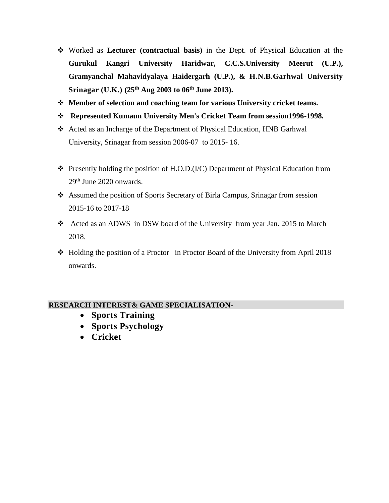- Worked as **Lecturer (contractual basis)** in the Dept. of Physical Education at the **Gurukul Kangri University Haridwar, C.C.S.University Meerut (U.P.), Gramyanchal Mahavidyalaya Haidergarh (U.P.), & H.N.B.Garhwal University Srinagar (U.K.) (25th Aug 2003 to 06th June 2013).**
- **Member of selection and coaching team for various University cricket teams.**
- **Represented Kumaun University Men's Cricket Team from session1996-1998.**
- Acted as an Incharge of the Department of Physical Education, HNB Garhwal University, Srinagar from session 2006-07 to 2015- 16.
- Presently holding the position of H.O.D.(I/C) Department of Physical Education from 29<sup>th</sup> June 2020 onwards.
- Assumed the position of Sports Secretary of Birla Campus, Srinagar from session 2015-16 to 2017-18
- Acted as an ADWS in DSW board of the University from year Jan. 2015 to March 2018.
- $\div$  Holding the position of a Proctor in Proctor Board of the University from April 2018 onwards.

### **RESEARCH INTEREST& GAME SPECIALISATION-**

- **Sports Training**
- **Sports Psychology**
- **Cricket**